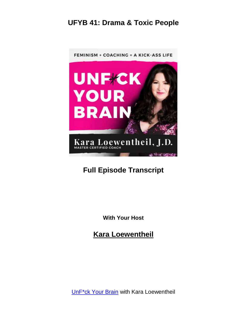

# **Full Episode Transcript**

**With Your Host**

**Kara Loewentheil**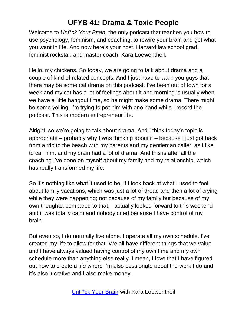Welcome to *Unf\*ck Your Brain*, the only podcast that teaches you how to use psychology, feminism, and coaching, to rewire your brain and get what you want in life. And now here's your host, Harvard law school grad, feminist rockstar, and master coach, Kara Loewentheil.

Hello, my chickens. So today, we are going to talk about drama and a couple of kind of related concepts. And I just have to warn you guys that there may be some cat drama on this podcast. I've been out of town for a week and my cat has a lot of feelings about it and morning is usually when we have a little hangout time, so he might make some drama. There might be some yelling. I'm trying to pet him with one hand while I record the podcast. This is modern entrepreneur life.

Alright, so we're going to talk about drama. And I think today's topic is appropriate – probably why I was thinking about it – because I just got back from a trip to the beach with my parents and my gentleman caller, as I like to call him, and my brain had a lot of drama. And this is after all the coaching I've done on myself about my family and my relationship, which has really transformed my life.

So it's nothing like what it used to be, if I look back at what I used to feel about family vacations, which was just a lot of dread and then a lot of crying while they were happening; not because of my family but because of my own thoughts. compared to that, I actually looked forward to this weekend and it was totally calm and nobody cried because I have control of my brain.

But even so, I do normally live alone. I operate all my own schedule. I've created my life to allow for that. We all have different things that we value and I have always valued having control of my own time and my own schedule more than anything else really. I mean, I love that I have figured out how to create a life where I'm also passionate about the work I do and it's also lucrative and I also make money.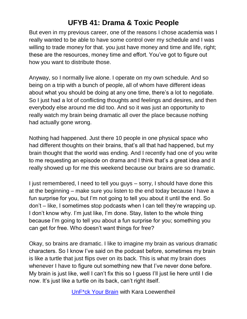But even in my previous career, one of the reasons I chose academia was I really wanted to be able to have some control over my schedule and I was willing to trade money for that. you just have money and time and life, right; these are the resources, money time and effort. You've got to figure out how you want to distribute those.

Anyway, so I normally live alone. I operate on my own schedule. And so being on a trip with a bunch of people, all of whom have different ideas about what you should be doing at any one time, there's a lot to negotiate. So I just had a lot of conflicting thoughts and feelings and desires, and then everybody else around me did too. And so it was just an opportunity to really watch my brain being dramatic all over the place because nothing had actually gone wrong.

Nothing had happened. Just there 10 people in one physical space who had different thoughts on their brains, that's all that had happened, but my brain thought that the world was ending. And I recently had one of you write to me requesting an episode on drama and I think that's a great idea and it really showed up for me this weekend because our brains are so dramatic.

I just remembered, I need to tell you guys – sorry, I should have done this at the beginning – make sure you listen to the end today because I have a fun surprise for you, but I'm not going to tell you about it until the end. So don't – like, I sometimes stop podcasts when I can tell they're wrapping up. I don't know why. I'm just like, I'm done. Stay, listen to the whole thing because I'm going to tell you about a fun surprise for you; something you can get for free. Who doesn't want things for free?

Okay, so brains are dramatic. I like to imagine my brain as various dramatic characters. So I know I've said on the podcast before, sometimes my brain is like a turtle that just flips over on its back. This is what my brain does whenever I have to figure out something new that I've never done before. My brain is just like, well I can't fix this so I guess I'll just lie here until I die now. It's just like a turtle on its back, can't right itself.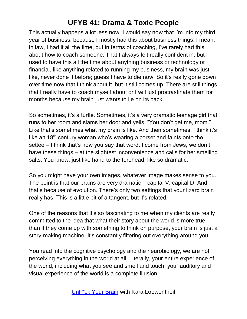This actually happens a lot less now. I would say now that I'm into my third year of business, because I mostly had this about business things. I mean, in law, I had it all the time, but in terms of coaching, I've rarely had this about how to coach someone. That I always felt really confident in. but I used to have this all the time about anything business or technology or financial, like anything related to running my business, my brain was just like, never done it before; guess I have to die now. So it's really gone down over time now that I think about it, but it still comes up. There are still things that I really have to coach myself about or I will just procrastinate them for months because my brain just wants to lie on its back.

So sometimes, it's a turtle. Sometimes, it's a very dramatic teenage girl that runs to her room and slams her door and yells, "You don't get me, mom." Like that's sometimes what my brain is like. And then sometimes, I think it's like an 18<sup>th</sup> century woman who's wearing a corset and faints onto the settee – I think that's how you say that word. I come from Jews; we don't have these things – at the slightest inconvenience and calls for her smelling salts. You know, just like hand to the forehead, like so dramatic.

So you might have your own images, whatever image makes sense to you. The point is that our brains are very dramatic – capital V, capital D. And that's because of evolution. There's only two settings that your lizard brain really has. This is a little bit of a tangent, but it's related.

One of the reasons that it's so fascinating to me when my clients are really committed to the idea that what their story about the world is more true than if they come up with something to think on purpose, your brain is just a story-making machine. It's constantly filtering out everything around you.

You read into the cognitive psychology and the neurobiology, we are not perceiving everything in the world at all. Literally, your entire experience of the world, including what you see and smell and touch, your auditory and visual experience of the world is a complete illusion.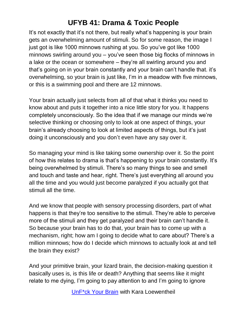It's not exactly that it's not there, but really what's happening is your brain gets an overwhelming amount of stimuli. So for some reason, the image I just got is like 1000 minnows rushing at you. So you've got like 1000 minnows swirling around you – you've seen those big flocks of minnows in a lake or the ocean or somewhere – they're all swirling around you and that's going on in your brain constantly and your brain can't handle that. it's overwhelming, so your brain is just like, I'm in a meadow with five minnows, or this is a swimming pool and there are 12 minnows.

Your brain actually just selects from all of that what it thinks you need to know about and puts it together into a nice little story for you. It happens completely unconsciously. So the idea that if we manage our minds we're selective thinking or choosing only to look at one aspect of things, your brain's already choosing to look at limited aspects of things, but it's just doing it unconsciously and you don't even have any say over it.

So managing your mind is like taking some ownership over it. So the point of how this relates to drama is that's happening to your brain constantly. It's being overwhelmed by stimuli. There's so many things to see and smell and touch and taste and hear, right. There's just everything all around you all the time and you would just become paralyzed if you actually got that stimuli all the time.

And we know that people with sensory processing disorders, part of what happens is that they're too sensitive to the stimuli. They're able to perceive more of the stimuli and they get paralyzed and their brain can't handle it. So because your brain has to do that, your brain has to come up with a mechanism, right; how am I going to decide what to care about? There's a million minnows; how do I decide which minnows to actually look at and tell the brain they exist?

And your primitive brain, your lizard brain, the decision-making question it basically uses is, is this life or death? Anything that seems like it might relate to me dying, I'm going to pay attention to and I'm going to ignore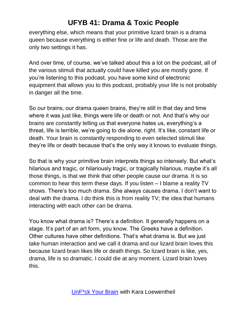everything else, which means that your primitive lizard brain is a drama queen because everything is either fine or life and death. Those are the only two settings it has.

And over time, of course, we've talked about this a lot on the podcast, all of the various stimuli that actually could have killed you are mostly gone. If you're listening to this podcast, you have some kind of electronic equipment that allows you to this podcast, probably your life is not probably in danger all the time.

So our brains, our drama queen brains, they're still in that day and time where it was just like, things were life or death or not. And that's why our brains are constantly telling us that everyone hates us, everything's a threat, life is terrible, we're going to die alone, right. It's like, constant life or death. Your brain is constantly responding to even selected stimuli like they're life or death because that's the only way it knows to evaluate things.

So that is why your primitive brain interprets things so intensely. But what's hilarious and tragic, or hilariously tragic, or tragically hilarious, maybe it's all those things, is that we think that other people cause our drama. It is so common to hear this term these days. If you listen – I blame a reality TV shows. There's too much drama. She always causes drama. I don't want to deal with the drama. I do think this is from reality TV; the idea that humans interacting with each other can be drama.

You know what drama is? There's a definition. It generally happens on a stage. It's part of an art form, you know. The Greeks have a definition. Other cultures have other definitions. That's what drama is. But we just take human interaction and we call it drama and our lizard brain loves this because lizard brain likes life or death things. So lizard brain is like, yes, drama, life is so dramatic. I could die at any moment. Lizard brain loves this.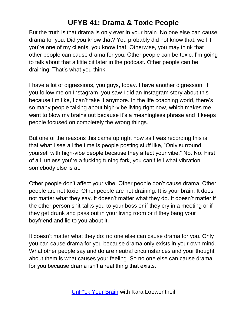But the truth is that drama is only ever in your brain. No one else can cause drama for you. Did you know that? You probably did not know that. well if you're one of my clients, you know that. Otherwise, you may think that other people can cause drama for you. Other people can be toxic. I'm going to talk about that a little bit later in the podcast. Other people can be draining. That's what you think.

I have a lot of digressions, you guys, today. I have another digression. If you follow me on Instagram, you saw I did an Instagram story about this because I'm like, I can't take it anymore. In the life coaching world, there's so many people talking about high-vibe living right now, which makes me want to blow my brains out because it's a meaningless phrase and it keeps people focused on completely the wrong things.

But one of the reasons this came up right now as I was recording this is that what I see all the time is people posting stuff like, "Only surround yourself with high-vibe people because they affect your vibe." No. No. First of all, unless you're a fucking tuning fork, you can't tell what vibration somebody else is at.

Other people don't affect your vibe. Other people don't cause drama. Other people are not toxic. Other people are not draining. It is your brain. It does not matter what they say. It doesn't matter what they do. It doesn't matter if the other person shit-talks you to your boss or if they cry in a meeting or if they get drunk and pass out in your living room or if they bang your boyfriend and lie to you about it.

It doesn't matter what they do; no one else can cause drama for you. Only you can cause drama for you because drama only exists in your own mind. What other people say and do are neutral circumstances and your thought about them is what causes your feeling. So no one else can cause drama for you because drama isn't a real thing that exists.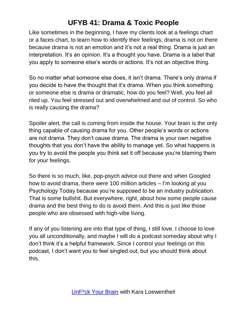Like sometimes in the beginning, I have my clients look at a feelings chart or a faces chart, to learn how to identify their feelings; drama is not on there because drama is not an emotion and it's not a real thing. Drama is just an interpretation. It's an opinion. It's a thought you have. Drama is a label that you apply to someone else's words or actions. It's not an objective thing.

So no matter what someone else does, it isn't drama. There's only drama if you decide to have the thought that it's drama. When you think something or someone else is drama or dramatic, how do you feel? Well, you feel all riled up. You feel stressed out and overwhelmed and out of control. So who is really causing the drama?

Spoiler alert, the call is coming from inside the house. Your brain is the only thing capable of causing drama for you. Other people's words or actions are not drama. They don't cause drama. The drama is your own negative thoughts that you don't have the ability to manage yet. So what happens is you try to avoid the people you think set it off because you're blaming them for your feelings.

So there is so much, like, pop-psych advice out there and when Googled how to avoid drama, there were 100 million articles – I'm looking at you Psychology Today because you're supposed to be an industry publication. That is some bullshit. But everywhere, right, about how some people cause drama and the best thing to do is avoid them. And this is just like those people who are obsessed with high-vibe living.

If any of you listening are into that type of thing, I still love. I choose to love you all unconditionally, and maybe I will do a podcast someday about why I don't think it's a helpful framework. Since I control your feelings on this podcast, I don't want you to feel singled out, but you should think about this.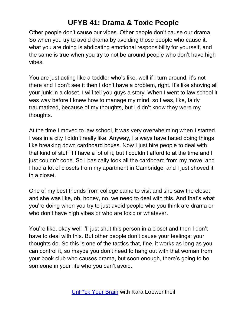Other people don't cause our vibes. Other people don't cause our drama. So when you try to avoid drama by avoiding those people who cause it, what you are doing is abdicating emotional responsibility for yourself, and the same is true when you try to not be around people who don't have high vibes.

You are just acting like a toddler who's like, well if I turn around, it's not there and I don't see it then I don't have a problem, right. It's like shoving all your junk in a closet. I will tell you guys a story. When I went to law school it was way before I knew how to manage my mind, so I was, like, fairly traumatized, because of my thoughts, but I didn't know they were my thoughts.

At the time I moved to law school, it was very overwhelming when I started. I was in a city I didn't really like. Anyway, I always have hated doing things like breaking down cardboard boxes. Now I just hire people to deal with that kind of stuff if I have a lot of it, but I couldn't afford to at the time and I just couldn't cope. So I basically took all the cardboard from my move, and I had a lot of closets from my apartment in Cambridge, and I just shoved it in a closet.

One of my best friends from college came to visit and she saw the closet and she was like, oh, honey, no. we need to deal with this. And that's what you're doing when you try to just avoid people who you think are drama or who don't have high vibes or who are toxic or whatever.

You're like, okay well I'll just shut this person in a closet and then I don't have to deal with this. But other people don't cause your feelings; your thoughts do. So this is one of the tactics that, fine, it works as long as you can control it, so maybe you don't need to hang out with that woman from your book club who causes drama, but soon enough, there's going to be someone in your life who you can't avoid.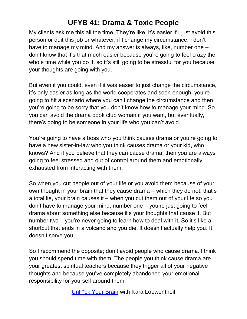My clients ask me this all the time. They're like, it's easier if I just avoid this person or quit this job or whatever, if I change my circumstance, I don't have to manage my mind. And my answer is always, like, number one – I don't know that it's that much easier because you're going to feel crazy the whole time while you do it, so it's still going to be stressful for you because your thoughts are going with you.

But even if you could, even if it was easier to just change the circumstance, it's only easier as long as the world cooperates and soon enough, you're going to hit a scenario where you can't change the circumstance and then you're going to be sorry that you don't know how to manage your mind. So you can avoid the drama book club woman if you want, but eventually, there's going to be someone in your life who you can't avoid.

You're going to have a boss who you think causes drama or you're going to have a new sister-in-law who you think causes drama or your kid, who knows? And if you believe that they can cause drama, then you are always going to feel stressed and out of control around them and emotionally exhausted from interacting with them.

So when you cut people out of your life or you avoid them because of your own thought in your brain that they cause drama – which they do not, that's a total lie, your brain causes it – when you cut them out of your life so you don't have to manage your mind, number one – you're just going to feel drama about something else because it's your thoughts that cause it. But number two – you're never going to learn how to deal with it. So it's like a shortcut that ends in a volcano and you die. It doesn't actually help you. It doesn't serve you.

So I recommend the opposite; don't avoid people who cause drama. I think you should spend time with them. The people you think cause drama are your greatest spiritual teachers because they trigger all of your negative thoughts and because you've completely abandoned your emotional responsibility for yourself around them.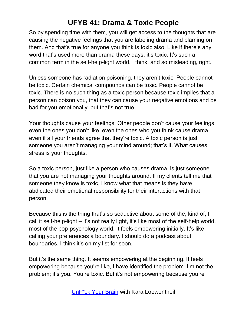So by spending time with them, you will get access to the thoughts that are causing the negative feelings that you are labeling drama and blaming on them. And that's true for anyone you think is toxic also. Like if there's any word that's used more than drama these days, it's toxic. It's such a common term in the self-help-light world, I think, and so misleading, right.

Unless someone has radiation poisoning, they aren't toxic. People cannot be toxic. Certain chemical compounds can be toxic. People cannot be toxic. There is no such thing as a toxic person because toxic implies that a person can poison you, that they can cause your negative emotions and be bad for you emotionally, but that's not true.

Your thoughts cause your feelings. Other people don't cause your feelings, even the ones you don't like, even the ones who you think cause drama, even if all your friends agree that they're toxic. A toxic person is just someone you aren't managing your mind around; that's it. What causes stress is your thoughts.

So a toxic person, just like a person who causes drama, is just someone that you are not managing your thoughts around. If my clients tell me that someone they know is toxic, I know what that means is they have abdicated their emotional responsibility for their interactions with that person.

Because this is the thing that's so seductive about some of the, kind of, I call it self-help-light – it's not really light, it's like most of the self-help world, most of the pop-psychology world. It feels empowering initially. It's like calling your preferences a boundary. I should do a podcast about boundaries. I think it's on my list for soon.

But it's the same thing. It seems empowering at the beginning. It feels empowering because you're like, I have identified the problem. I'm not the problem; it's you. You're toxic. But it's not empowering because you're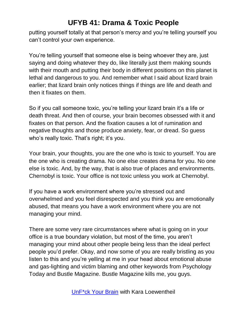putting yourself totally at that person's mercy and you're telling yourself you can't control your own experience.

You're telling yourself that someone else is being whoever they are, just saying and doing whatever they do, like literally just them making sounds with their mouth and putting their body in different positions on this planet is lethal and dangerous to you. And remember what I said about lizard brain earlier; that lizard brain only notices things if things are life and death and then it fixates on them.

So if you call someone toxic, you're telling your lizard brain it's a life or death threat. And then of course, your brain becomes obsessed with it and fixates on that person. And the fixation causes a lot of rumination and negative thoughts and those produce anxiety, fear, or dread. So guess who's really toxic. That's right; it's you.

Your brain, your thoughts, you are the one who is toxic to yourself. You are the one who is creating drama. No one else creates drama for you. No one else is toxic. And, by the way, that is also true of places and environments. Chernobyl is toxic. Your office is not toxic unless you work at Chernobyl.

If you have a work environment where you're stressed out and overwhelmed and you feel disrespected and you think you are emotionally abused, that means you have a work environment where you are not managing your mind.

There are some very rare circumstances where what is going on in your office is a true boundary violation, but most of the time, you aren't managing your mind about other people being less than the ideal perfect people you'd prefer. Okay, and now some of you are really bristling as you listen to this and you're yelling at me in your head about emotional abuse and gas-lighting and victim blaming and other keywords from Psychology Today and Bustle Magazine. Bustle Magazine kills me, you guys.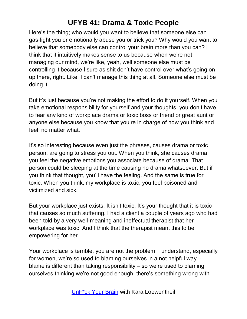Here's the thing; who would you want to believe that someone else can gas-light you or emotionally abuse you or trick you? Why would you want to believe that somebody else can control your brain more than you can? I think that it intuitively makes sense to us because when we're not managing our mind, we're like, yeah, well someone else must be controlling it because I sure as shit don't have control over what's going on up there, right. Like, I can't manage this thing at all. Someone else must be doing it.

But it's just because you're not making the effort to do it yourself. When you take emotional responsibility for yourself and your thoughts, you don't have to fear any kind of workplace drama or toxic boss or friend or great aunt or anyone else because you know that you're in charge of how you think and feel, no matter what.

It's so interesting because even just the phrases, causes drama or toxic person, are going to stress you out. When you think, she causes drama, you feel the negative emotions you associate because of drama. That person could be sleeping at the time causing no drama whatsoever. But if you think that thought, you'll have the feeling. And the same is true for toxic. When you think, my workplace is toxic, you feel poisoned and victimized and sick.

But your workplace just exists. It isn't toxic. It's your thought that it is toxic that causes so much suffering. I had a client a couple of years ago who had been told by a very well-meaning and ineffectual therapist that her workplace was toxic. And I think that the therapist meant this to be empowering for her.

Your workplace is terrible, you are not the problem. I understand, especially for women, we're so used to blaming ourselves in a not helpful way – blame is different than taking responsibility – so we're used to blaming ourselves thinking we're not good enough, there's something wrong with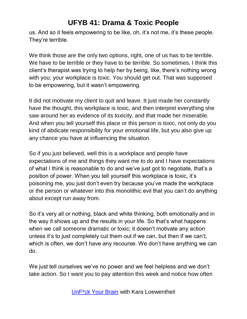us. And so it feels empowering to be like, oh, it's not me, it's these people. They're terrible.

We think those are the only two options, right, one of us has to be terrible. We have to be terrible or they have to be terrible. So sometimes, I think this client's therapist was trying to help her by being, like, there's nothing wrong with you; your workplace is toxic. You should get out. That was supposed to be empowering, but it wasn't empowering.

It did not motivate my client to quit and leave. It just made her constantly have the thought, this workplace is toxic, and then interpret everything she saw around her as evidence of its toxicity, and that made her miserable. And when you tell yourself this place or this person is toxic, not only do you kind of abdicate responsibility for your emotional life, but you also give up any chance you have at influencing the situation.

So if you just believed, well this is a workplace and people have expectations of me and things they want me to do and I have expectations of what I think is reasonable to do and we've just got to negotiate, that's a position of power. When you tell yourself this workplace is toxic, it's poisoning me, you just don't even try because you've made the workplace or the person or whatever into this monolithic evil that you can't do anything about except run away from.

So it's very all or nothing, black and white thinking, both emotionally and in the way it shows up and the results in your life. So that's what happens when we call someone dramatic or toxic; it doesn't motivate any action unless it's to just completely cut them out if we can, but then if we can't, which is often, we don't have any recourse. We don't have anything we can do.

We just tell ourselves we've no power and we feel helpless and we don't take action. So I want you to pay attention this week and notice how often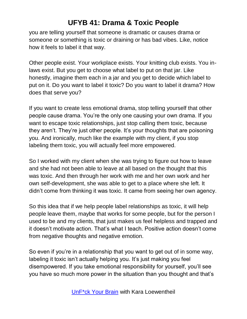you are telling yourself that someone is dramatic or causes drama or someone or something is toxic or draining or has bad vibes. Like, notice how it feels to label it that way.

Other people exist. Your workplace exists. Your knitting club exists. You inlaws exist. But you get to choose what label to put on that jar. Like honestly, imagine them each in a jar and you get to decide which label to put on it. Do you want to label it toxic? Do you want to label it drama? How does that serve you?

If you want to create less emotional drama, stop telling yourself that other people cause drama. You're the only one causing your own drama. If you want to escape toxic relationships, just stop calling them toxic, because they aren't. They're just other people. It's your thoughts that are poisoning you. And ironically, much like the example with my client, if you stop labeling them toxic, you will actually feel more empowered.

So I worked with my client when she was trying to figure out how to leave and she had not been able to leave at all based on the thought that this was toxic. And then through her work with me and her own work and her own self-development, she was able to get to a place where she left. It didn't come from thinking it was toxic. It came from seeing her own agency.

So this idea that if we help people label relationships as toxic, it will help people leave them, maybe that works for some people, but for the person I used to be and my clients, that just makes us feel helpless and trapped and it doesn't motivate action. That's what I teach. Positive action doesn't come from negative thoughts and negative emotion.

So even if you're in a relationship that you want to get out of in some way, labeling it toxic isn't actually helping you. It's just making you feel disempowered. If you take emotional responsibility for yourself, you'll see you have so much more power in the situation than you thought and that's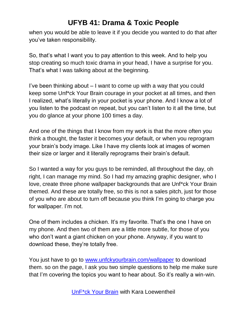when you would be able to leave it if you decide you wanted to do that after you've taken responsibility.

So, that's what I want you to pay attention to this week. And to help you stop creating so much toxic drama in your head, I have a surprise for you. That's what I was talking about at the beginning.

I've been thinking about – I want to come up with a way that you could keep some Unf\*ck Your Brain courage in your pocket at all times, and then I realized, what's literally in your pocket is your phone. And I know a lot of you listen to the podcast on repeat, but you can't listen to it all the time, but you do glance at your phone 100 times a day.

And one of the things that I know from my work is that the more often you think a thought, the faster it becomes your default, or when you reprogram your brain's body image. Like I have my clients look at images of women their size or larger and it literally reprograms their brain's default.

So I wanted a way for you guys to be reminded, all throughout the day, oh right, I can manage my mind. So I had my amazing graphic designer, who I love, create three phone wallpaper backgrounds that are Unf\*ck Your Brain themed. And these are totally free, so this is not a sales pitch, just for those of you who are about to turn off because you think I'm going to charge you for wallpaper. I'm not.

One of them includes a chicken. It's my favorite. That's the one I have on my phone. And then two of them are a little more subtle, for those of you who don't want a giant chicken on your phone. Anyway, if you want to download these, they're totally free.

You just have to go to [www.unfckyourbrain.com/wallpaper](http://www.unfckyourbrain.com/wallpaper) to download them. so on the page, I ask you two simple questions to help me make sure that I'm covering the topics you want to hear about. So it's really a win-win.